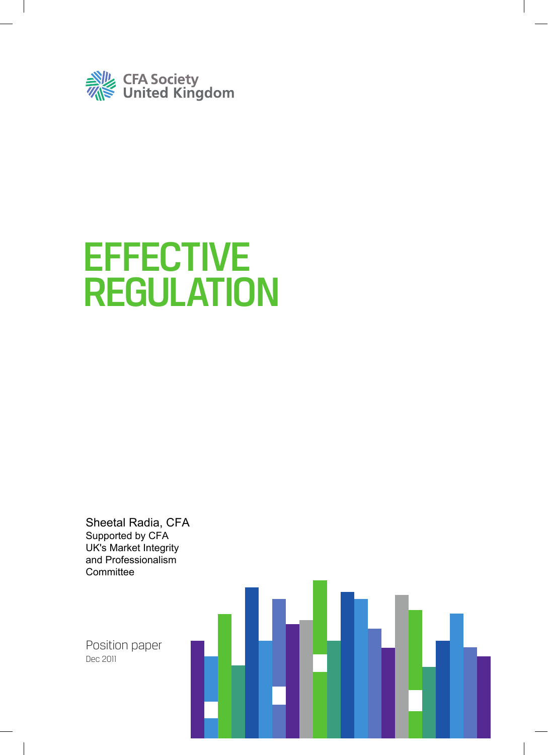

# **EFFECTIVE** REGULATION

Sheetal Radia, CFA Supported by CFA UK's Market Integrity and Professionalism **Committee** 

Position paper Dec 2011

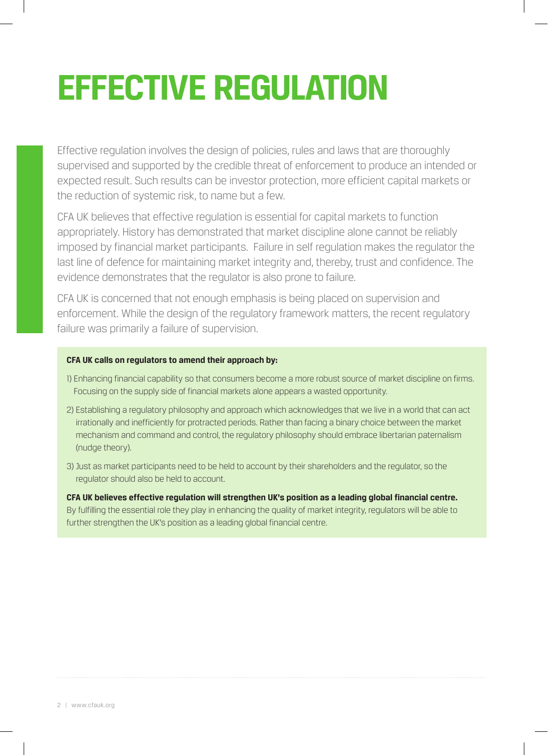# **EFFECTIVE REGULATION**

Effective regulation involves the design of policies, rules and laws that are thoroughly supervised and supported by the credible threat of enforcement to produce an intended or expected result. Such results can be investor protection, more efficient capital markets or the reduction of systemic risk, to name but a few.

CFA UK believes that effective regulation is essential for capital markets to function appropriately. History has demonstrated that market discipline alone cannot be reliably imposed by financial market participants. Failure in self regulation makes the regulator the last line of defence for maintaining market integrity and, thereby, trust and confidence. The evidence demonstrates that the regulator is also prone to failure.

CFA UK is concerned that not enough emphasis is being placed on supervision and enforcement. While the design of the regulatory framework matters, the recent regulatory failure was primarily a failure of supervision.

## **CFA UK calls on regulators to amend their approach by:**

- 1) Enhancing financial capability so that consumers become a more robust source of market discipline on firms. Focusing on the supply side of financial markets alone appears a wasted opportunity.
- 2) Establishing a regulatory philosophy and approach which acknowledges that we live in a world that can act irrationally and inefficiently for protracted periods. Rather than facing a binary choice between the market mechanism and command and control, the regulatory philosophy should embrace libertarian paternalism (nudge theory).
- 3) Just as market participants need to be held to account by their shareholders and the regulator, so the regulator should also be held to account.

**CFA UK believes effective regulation will strengthen UK's position as a leading global financial centre.** By fulfilling the essential role they play in enhancing the quality of market integrity, regulators will be able to further strengthen the UK's position as a leading global financial centre.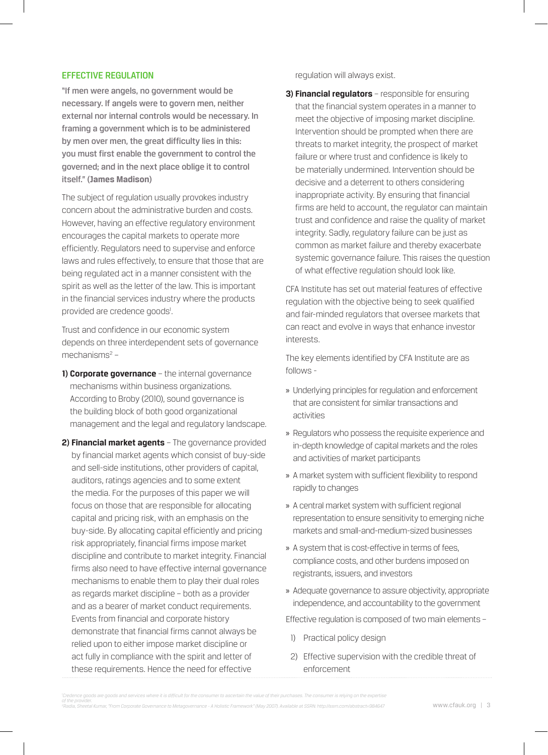#### EFFECTIVE REGULATION

"If men were angels, no government would be necessary. If angels were to govern men, neither external nor internal controls would be necessary. In framing a government which is to be administered by men over men, the great difficulty lies in this: you must first enable the government to control the governed; and in the next place oblige it to control itself." **(James Madison)**

The subject of regulation usually provokes industry concern about the administrative burden and costs. However, having an effective regulatory environment encourages the capital markets to operate more efficiently. Regulators need to supervise and enforce laws and rules effectively, to ensure that those that are being regulated act in a manner consistent with the spirit as well as the letter of the law. This is important in the financial services industry where the products provided are credence goods<sup>1</sup>.

Trust and confidence in our economic system depends on three interdependent sets of governance mechanisms<sup>2</sup> -

- **1) Corporate governance** the internal governance mechanisms within business organizations. According to Broby (2010), sound governance is the building block of both good organizational management and the legal and regulatory landscape.
- **2) Financial market agents** The governance provided by financial market agents which consist of buy-side and sell-side institutions, other providers of capital, auditors, ratings agencies and to some extent the media. For the purposes of this paper we will focus on those that are responsible for allocating capital and pricing risk, with an emphasis on the buy-side. By allocating capital efficiently and pricing risk appropriately, financial firms impose market discipline and contribute to market integrity. Financial firms also need to have effective internal governance mechanisms to enable them to play their dual roles as regards market discipline – both as a provider and as a bearer of market conduct requirements. Events from financial and corporate history demonstrate that financial firms cannot always be relied upon to either impose market discipline or act fully in compliance with the spirit and letter of these requirements. Hence the need for effective

regulation will always exist.

**3) Financial regulators** – responsible for ensuring that the financial system operates in a manner to meet the objective of imposing market discipline. Intervention should be prompted when there are threats to market integrity, the prospect of market failure or where trust and confidence is likely to be materially undermined. Intervention should be decisive and a deterrent to others considering inappropriate activity. By ensuring that financial firms are held to account, the regulator can maintain trust and confidence and raise the quality of market integrity. Sadly, regulatory failure can be just as common as market failure and thereby exacerbate systemic governance failure. This raises the question of what effective regulation should look like.

CFA Institute has set out material features of effective regulation with the objective being to seek qualified and fair-minded regulators that oversee markets that can react and evolve in ways that enhance investor interests.

The key elements identified by CFA Institute are as follows -

- » Underlying principles for regulation and enforcement that are consistent for similar transactions and activities
- » Regulators who possess the requisite experience and in-depth knowledge of capital markets and the roles and activities of market participants
- » A market system with sufficient flexibility to respond rapidly to changes
- » A central market system with sufficient regional representation to ensure sensitivity to emerging niche markets and small-and-medium-sized businesses
- » A system that is cost-effective in terms of fees, compliance costs, and other burdens imposed on registrants, issuers, and investors
- » Adequate governance to assure objectivity, appropriate independence, and accountability to the government

Effective regulation is composed of two main elements –

- 1) Practical policy design
- 2) Effective supervision with the credible threat of enforcement

*Credence goods are goods and services where it is difficult for the consumer to ascertain the value of their purchases. The consumer is relying on the expertise of the provider. 2 Radia, Sheetal Kumar, "From Corporate Governance to Metagovernance - A Holistic Framework" (May 2007). Available at SSRN: http://ssrn.com/abstract=984647*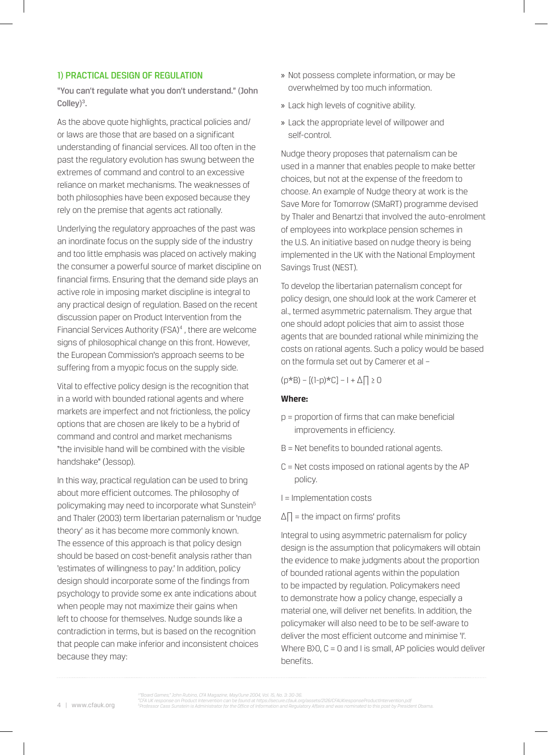## 1) PRACTICAL DESIGN OF REGULATION

"You can't regulate what you don't understand." (John Colley)<sup>3</sup>.

As the above quote highlights, practical policies and/ or laws are those that are based on a significant understanding of financial services. All too often in the past the regulatory evolution has swung between the extremes of command and control to an excessive reliance on market mechanisms. The weaknesses of both philosophies have been exposed because they rely on the premise that agents act rationally.

Underlying the regulatory approaches of the past was an inordinate focus on the supply side of the industry and too little emphasis was placed on actively making the consumer a powerful source of market discipline on financial firms. Ensuring that the demand side plays an active role in imposing market discipline is integral to any practical design of regulation. Based on the recent discussion paper on Product Intervention from the Financial Services Authority (FSA)<sup>4</sup>, there are welcome signs of philosophical change on this front. However, the European Commission's approach seems to be suffering from a myopic focus on the supply side.

Vital to effective policy design is the recognition that in a world with bounded rational agents and where markets are imperfect and not frictionless, the policy options that are chosen are likely to be a hybrid of command and control and market mechanisms "the invisible hand will be combined with the visible handshake" (Jessop).

In this way, practical regulation can be used to bring about more efficient outcomes. The philosophy of policymaking may need to incorporate what Sunstein<sup>5</sup> and Thaler (2003) term libertarian paternalism or 'nudge theory' as it has become more commonly known. The essence of this approach is that policy design should be based on cost-benefit analysis rather than 'estimates of willingness to pay.' In addition, policy design should incorporate some of the findings from psychology to provide some ex ante indications about when people may not maximize their gains when left to choose for themselves. Nudge sounds like a contradiction in terms, but is based on the recognition that people can make inferior and inconsistent choices because they may:

- » Not possess complete information, or may be overwhelmed by too much information.
- » Lack high levels of cognitive ability.
- » Lack the appropriate level of willpower and self-control.

Nudge theory proposes that paternalism can be used in a manner that enables people to make better choices, but not at the expense of the freedom to choose. An example of Nudge theory at work is the Save More for Tomorrow (SMaRT) programme devised by Thaler and Benartzi that involved the auto-enrolment of employees into workplace pension schemes in the U.S. An initiative based on nudge theory is being implemented in the UK with the National Employment Savings Trust (NEST).

To develop the libertarian paternalism concept for policy design, one should look at the work Camerer et al., termed asymmetric paternalism. They argue that one should adopt policies that aim to assist those agents that are bounded rational while minimizing the costs on rational agents. Such a policy would be based on the formula set out by Camerer et al –

 $(p*B) - [(1-p)*C] - 1 + \Delta \Box \ge 0$ 

## **Where:**

- p = proportion of firms that can make beneficial improvements in efficiency.
- B = Net benefits to bounded rational agents.
- C = Net costs imposed on rational agents by the AP policy.
- I = Implementation costs
- $\Delta \Pi$  = the impact on firms' profits

Integral to using asymmetric paternalism for policy design is the assumption that policymakers will obtain the evidence to make judgments about the proportion of bounded rational agents within the population to be impacted by regulation. Policymakers need to demonstrate how a policy change, especially a material one, will deliver net benefits. In addition, the policymaker will also need to be to be self-aware to deliver the most efficient outcome and minimise 'I'. Where  $B$ ) $O$ ,  $C = O$  and I is small, AP policies would deliver benefits.

*Professor Cass Sunstein is Administrator for the Office of Information and Regulatory Affairs and was nominated to this post by President Obama.*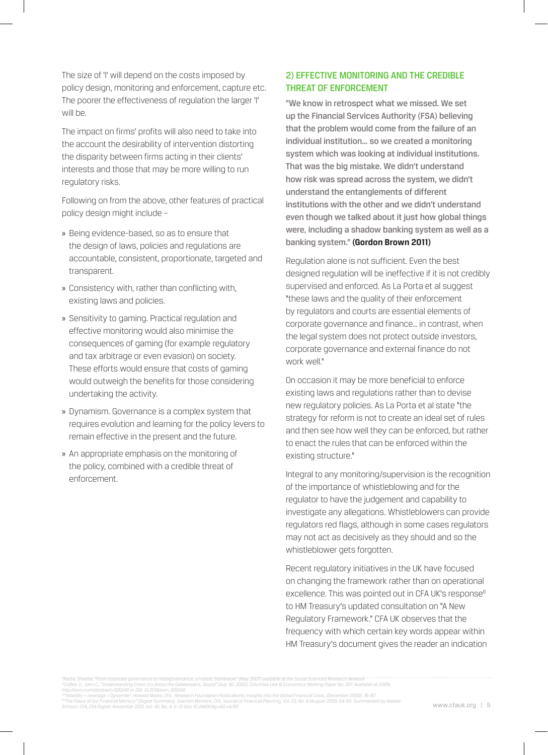The size of 'I' will depend on the costs imposed by policy design, monitoring and enforcement, capture etc. The poorer the effectiveness of regulation the larger 'I' will be.

The impact on firms' profits will also need to take into the account the desirability of intervention distorting the disparity between firms acting in their clients' interests and those that may be more willing to run regulatory risks.

Following on from the above, other features of practical policy design might include –

- » Being evidence-based, so as to ensure that the design of laws, policies and regulations are accountable, consistent, proportionate, targeted and transparent.
- » Consistency with, rather than conflicting with, existing laws and policies.
- » Sensitivity to gaming. Practical regulation and effective monitoring would also minimise the consequences of gaming (for example regulatory and tax arbitrage or even evasion) on society. These efforts would ensure that costs of gaming would outweigh the benefits for those considering undertaking the activity.
- » Dynamism. Governance is a complex system that requires evolution and learning for the policy levers to remain effective in the present and the future.
- » An appropriate emphasis on the monitoring of the policy, combined with a credible threat of enforcement.

## 2) EFFECTIVE MONITORING AND THE CREDIBLE THREAT OF ENFORCEMENT

"We know in retrospect what we missed. We set up the Financial Services Authority (FSA) believing that the problem would come from the failure of an individual institution… so we created a monitoring system which was looking at individual institutions. That was the big mistake. We didn't understand how risk was spread across the system, we didn't understand the entanglements of different institutions with the other and we didn't understand even though we talked about it just how global things were, including a shadow banking system as well as a banking system." **(Gordon Brown 2011)**

Regulation alone is not sufficient. Even the best designed regulation will be ineffective if it is not credibly supervised and enforced. As La Porta et al suggest "these laws and the quality of their enforcement by regulators and courts are essential elements of corporate governance and finance… in contrast, when the legal system does not protect outside investors, corporate governance and external finance do not work well."

On occasion it may be more beneficial to enforce existing laws and regulations rather than to devise new regulatory policies. As La Porta et al state "the strategy for reform is not to create an ideal set of rules and then see how well they can be enforced, but rather to enact the rules that can be enforced within the existing structure."

Integral to any monitoring/supervision is the recognition of the importance of whistleblowing and for the regulator to have the judgement and capability to investigate any allegations. Whistleblowers can provide regulators red flags, although in some cases regulators may not act as decisively as they should and so the whistleblower gets forgotten.

Recent regulatory initiatives in the UK have focused on changing the framework rather than on operational excellence. This was pointed out in CFA UK's response<sup>6</sup> to HM Treasury's updated consultation on "A New Regulatory Framework." CFA UK observes that the frequency with which certain key words appear within HM Treasury's document gives the reader an indication

"The Flaws of Our Financial Memory" (Digest Summary), Joachim Klement, CFA, Journal of Financial Planning, Vol. 23, No. 8 (August 2010): 54-60. Summarised by Natalie<br>Schoon, CFA, CFA Digest, November 2010, Vol. 40, No. 4:

*<sup>11</sup>Radia, Sheetal, "From corporate governance to metagovernance, a holistic framework" (May 2007) available at the Social Scienced Research Network 12Coffee Jr., John C., "Understanding Enron: It's About the Gatekeepers, Stupid" (July 30, 2002). Columbia Law & Economics Working Paper No. 207. Available at SSRN: http://ssrn.com/abstract=325240 or DOI: 10.2139/ssrn.325240 13"Volatility + Leverage = Dynamite", Howard Marks, CFA , Research Foundation Publications, Insights into the Global Financial Crisis, (December 2009): 76-87.*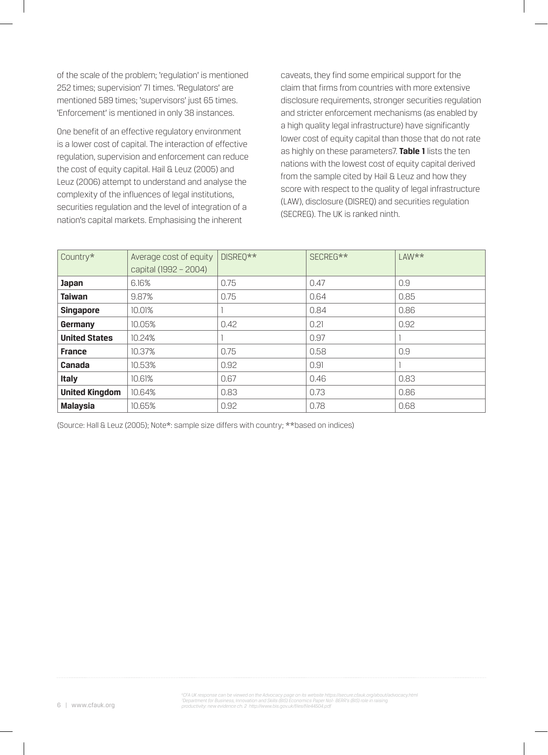of the scale of the problem; 'regulation' is mentioned 252 times; supervision' 71 times. 'Regulators' are mentioned 589 times; 'supervisors' just 65 times. 'Enforcement' is mentioned in only 38 instances.

One benefit of an effective regulatory environment is a lower cost of capital. The interaction of effective regulation, supervision and enforcement can reduce the cost of equity capital. Hail & Leuz (2005) and Leuz (2006) attempt to understand and analyse the complexity of the influences of legal institutions, securities regulation and the level of integration of a nation's capital markets. Emphasising the inherent

caveats, they find some empirical support for the claim that firms from countries with more extensive disclosure requirements, stronger securities regulation and stricter enforcement mechanisms (as enabled by a high quality legal infrastructure) have significantly lower cost of equity capital than those that do not rate as highly on these parameters7. **Table 1** lists the ten nations with the lowest cost of equity capital derived from the sample cited by Hail & Leuz and how they score with respect to the quality of legal infrastructure (LAW), disclosure (DISREQ) and securities regulation (SECREG). The UK is ranked ninth.

| Country*              | Average cost of equity | DISREO** | SECREG** | $LAW**$ |
|-----------------------|------------------------|----------|----------|---------|
|                       | capital (1992 - 2004)  |          |          |         |
| <b>Japan</b>          | 6.16%                  | 0.75     | 0.47     | 0.9     |
| <b>Taiwan</b>         | 9.87%                  | 0.75     | 0.64     | 0.85    |
| <b>Singapore</b>      | 10.01%                 |          | 0.84     | 0.86    |
| Germany               | 10.05%                 | 0.42     | 0.21     | 0.92    |
| <b>United States</b>  | 10.24%                 |          | 0.97     |         |
| <b>France</b>         | 10.37%                 | 0.75     | 0.58     | 0.9     |
| Canada                | 10.53%                 | 0.92     | 0.91     |         |
| <b>Italy</b>          | 10.61%                 | 0.67     | 0.46     | 0.83    |
| <b>United Kingdom</b> | 10.64%                 | 0.83     | 0.73     | 0.86    |
| <b>Malaysia</b>       | 10.65%                 | 0.92     | 0.78     | 0.68    |

(Source: Hall & Leuz (2005); Note\*: sample size differs with country; \*\*based on indices)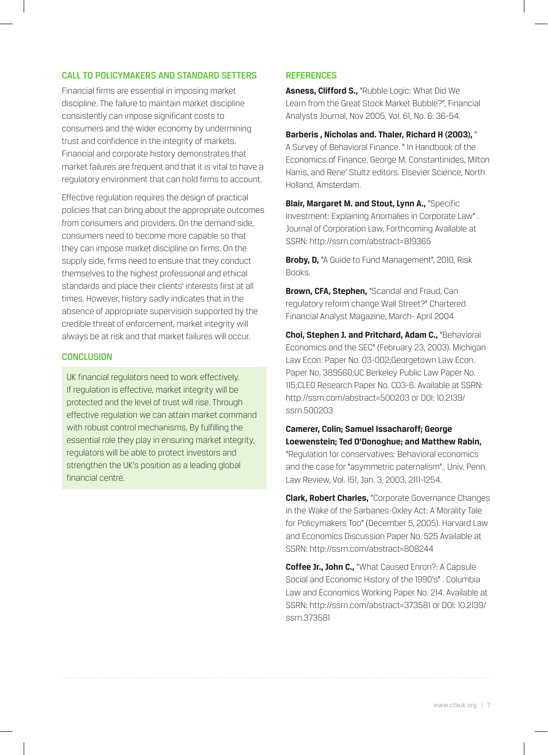## CALL TO POLICYMAKERS AND STANDARD SETTERS

Financial firms are essential in imposing market discipline. The failure to maintain market discipline consistently can impose significant costs to consumers and the wider economy by undermining trust and confidence in the integrity of markets. Financial and corporate history demonstrates that market failures are frequent and that it is vital to have a regulatory environment that can hold firms to account.

Effective regulation requires the design of practical policies that can bring about the appropriate outcomes from consumers and providers. On the demand side, consumers need to become more capable so that they can impose market discipline on firms. On the supply side, firms need to ensure that they conduct themselves to the highest professional and ethical standards and place their clients' interests first at all times. However, history sadly indicates that in the absence of appropriate supervision supported by the credible threat of enforcement, market integrity will always be at risk and that market failures will occur.

## **CONCLUSION**

UK financial regulators need to work effectively. If regulation is effective, market integrity will be protected and the level of trust will rise. Through effective regulation we can attain market command with robust control mechanisms. By fulfilling the essential role they play in ensuring market integrity, regulators will be able to protect investors and strengthen the UK's position as a leading global financial centre.

## **REFERENCES**

**Asness, Clifford S.,** "Rubble Logic: What Did We Learn from the Great Stock Market Bubble?", Financial Analysts Journal, Nov 2005, Vol. 61, No. 6: 36-54.

**Barberis , Nicholas and. Thaler, Richard H (2003),** " A Survey of Behavioral Finance. " In Handbook of the Economics of Finance. George M. Constantinides, Milton Harris, and Rene' Stultz editors. Elsevier Science, North Holland, Amsterdam.

**Blair, Margaret M. and Stout, Lynn A.,** "Specific Investment: Explaining Anomalies in Corporate Law" . Journal of Corporation Law, Forthcoming Available at SSRN: http://ssrn.com/abstract=819365

**Broby, D,** "A Guide to Fund Management", 2010, Risk Books.

**Brown, CFA, Stephen,** "Scandal and Fraud, Can regulatory reform change Wall Street?" Chartered Financial Analyst Magazine, March- April 2004

**Choi, Stephen J. and Pritchard, Adam C.,** "Behavioral Economics and the SEC" (February 23, 2003). Michigan Law Econ. Paper No. 03-002;Georgetown Law Econ. Paper No. 389560;UC Berkeley Public Law Paper No. 115;CLEO Research Paper No. C03-6. Available at SSRN: http://ssrn.com/abstract=500203 or DOI: 10.2139/ ssrn.500203

**Camerer, Colin; Samuel Issacharoff; George Loewenstein; Ted O'Donoghue; and Matthew Rabin,** "Regulation for conservatives: Behavioral economics and the case for "asymmetric paternalism".. Univ. Penn. Law Review, Vol. 151, Jan. 3, 2003, 2111-1254.

**Clark, Robert Charles,** "Corporate Governance Changes in the Wake of the Sarbanes-Oxley Act: A Morality Tale for Policymakers Too" (December 5, 2005). Harvard Law and Economics Discussion Paper No. 525 Available at SSRN: http://ssrn.com/abstract=808244

**Coffee Jr., John C.,** "What Caused Enron?: A Capsule Social and Economic History of the 1990's" . Columbia Law and Economics Working Paper No. 214. Available at SSRN: http://ssrn.com/abstract=373581 or DOI: 10.2139/ ssrn.373581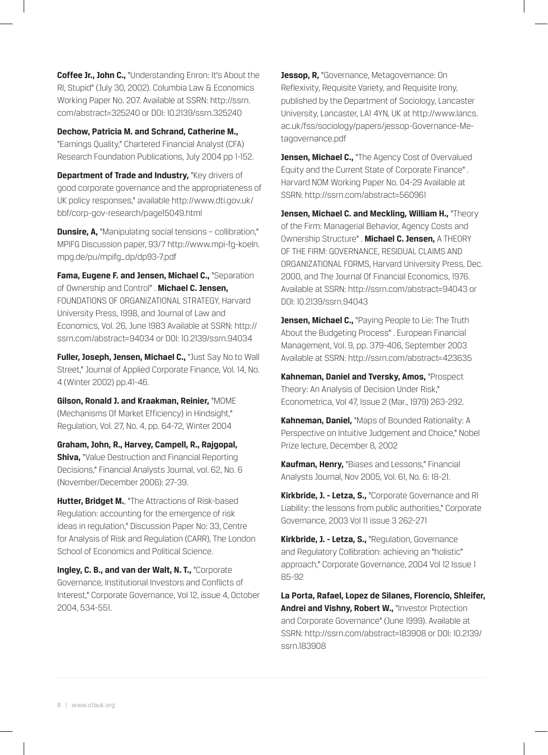**Coffee Jr., John C.,** "Understanding Enron: It's About the RI, Stupid" (July 30, 2002). Columbia Law & Economics Working Paper No. 207. Available at SSRN: http://ssrn. com/abstract=325240 or DOI: 10.2139/ssrn.325240

**Dechow, Patricia M. and Schrand, Catherine M.,**  "Earnings Quality," Chartered Financial Analyst (CFA) Research Foundation Publications, July 2004 pp 1-152.

**Department of Trade and Industry, "Key drivers of** good corporate governance and the appropriateness of UK policy responses," available http://www.dti.gov.uk/ bbf/corp-gov-research/page15049.html

**Dunsire, A,** "Manipulating social tensions - collibration," MPIFG Discussion paper, 93/7 http://www.mpi-fg-koeln. mpg.de/pu/mpifg\_dp/dp93-7.pdf

**Fama, Eugene F. and Jensen, Michael C.,** "Separation of Ownership and Control" . **Michael C. Jensen,** FOUNDATIONS OF ORGANIZATIONAL STRATEGY, Harvard University Press, 1998, and Journal of Law and Economics, Vol. 26, June 1983 Available at SSRN: http:// ssrn.com/abstract=94034 or DOI: 10.2139/ssrn.94034

**Fuller, Joseph, Jensen, Michael C.,** "Just Say No to Wall Street," Journal of Applied Corporate Finance, Vol. 14, No. 4 (Winter 2002) pp.41-46.

**Gilson, Ronald J. and Kraakman, Reinier,** "MOME (Mechanisms Of Market Efficiency) in Hindsight," Regulation, Vol. 27, No. 4, pp. 64-72, Winter 2004

**Graham, John, R., Harvey, Campell, R., Rajgopal, Shiva,** "Value Destruction and Financial Reporting Decisions," Financial Analysts Journal, vol. 62, No. 6 (November/December 2006): 27-39.

**Hutter, Bridget M.**, "The Attractions of Risk-based Regulation: accounting for the emergence of risk ideas in regulation," Discussion Paper No: 33, Centre for Analysis of Risk and Regulation (CARR), The London School of Economics and Political Science.

**Ingley, C. B., and van der Walt, N. T.,** "Corporate Governance, Institutional Investors and Conflicts of Interest," Corporate Governance, Vol 12, issue 4, October 2004, 534-551.

**Jessop, R, "Governance, Metagovernance: On** Reflexivity, Requisite Variety, and Requisite Irony, published by the Department of Sociology, Lancaster University, Lancaster, LA1 4YN, UK at http://www.lancs. ac.uk/fss/sociology/papers/jessop-Governance-Metagovernance.pdf

**Jensen, Michael C., "The Agency Cost of Overvalued** Equity and the Current State of Corporate Finance" . Harvard NOM Working Paper No. 04-29 Available at SSRN: http://ssrn.com/abstract=560961

**Jensen, Michael C. and Meckling, William H., "Theory** of the Firm: Managerial Behavior, Agency Costs and Ownership Structure" . **Michael C. Jensen,** A THEORY OF THE FIRM: GOVERNANCE, RESIDUAL CLAIMS AND ORGANIZATIONAL FORMS, Harvard University Press, Dec. 2000, and The Journal Of Financial Economics, 1976. Available at SSRN: http://ssrn.com/abstract=94043 or DOI: 10.2139/ssrn.94043

**Jensen, Michael C., "Paying People to Lie: The Truth** About the Budgeting Process" . European Financial Management, Vol. 9, pp. 379-406, September 2003 Available at SSRN: http://ssrn.com/abstract=423635

**Kahneman, Daniel and Tversky, Amos,** "Prospect Theory: An Analysis of Decision Under Risk," Econometrica, Vol 47, Issue 2 (Mar., 1979) 263-292.

**Kahneman, Daniel,** "Maps of Bounded Rationality: A Perspective on Intuitive Judgement and Choice," Nobel Prize lecture, December 8, 2002

**Kaufman, Henry,** "Biases and Lessons," Financial Analysts Journal, Nov 2005, Vol. 61, No. 6: 18-21.

**Kirkbride, J. - Letza, S.,** "Corporate Governance and RI Liability: the lessons from public authorities," Corporate Governance, 2003 Vol 11 issue 3 262-271

**Kirkbride, J. - Letza, S.,** "Regulation, Governance and Regulatory Collibration: achieving an "holistic" approach," Corporate Governance, 2004 Vol 12 Issue 1 85-92

**La Porta, Rafael, Lopez de Silanes, Florencio, Shleifer, Andrei and Vishny, Robert W.,** "Investor Protection and Corporate Governance" (June 1999). Available at SSRN: http://ssrn.com/abstract=183908 or DOI: 10.2139/ ssrn.183908